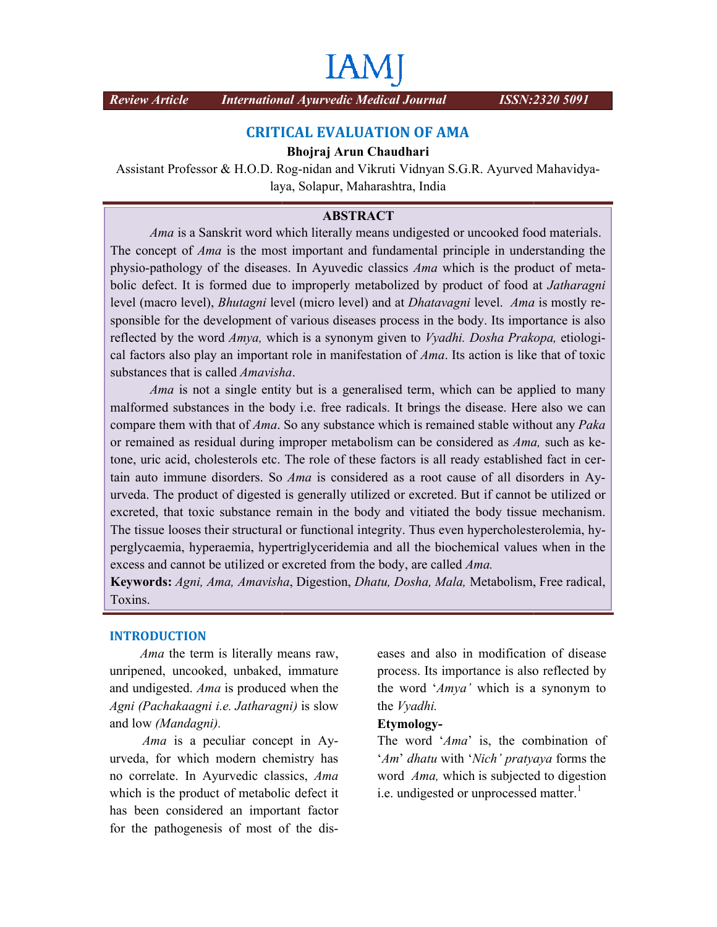# **IAM**

*Review Article International Ayurvedic Medical Journal* 

## **CRITICAL EVALUATION OF AMA**

### **Bhojraj Arun Chaudhari**

Assistant Professor & H.O.D. Rog-nidan and Vikruti Vidnyan S.G.R. Ayurved Mahavidyalaya, Solapur, Maharashtra, India

## **ABSTRACT**

*Ama* is a Sanskrit word which literally means undigested or uncooked food materials. *Ama* is a Sanskrit word which literally means undigested or uncooked food materials.<br>The concept of *Ama* is the most important and fundamental principle in understanding the *Ama* is a Sanskrit word which literally means undigested or uncooked food materials.<br>The concept of *Ama* is the most important and fundamental principle in understanding the physio-pathology of the diseases. In Ayuvedic bolic defect. It is formed due to *improperly metabolized* by product of food at *Jatharagni* level (macro level), *Bhutagni* level (micro level) and at *Dhatavagni* level. *Ama* is mostly responsible for the development of various diseases process in the body. Its importance is also reflected by the word *Amya,* which is a synonym given to *Vyadhi. Dosha Prakopa,* etiologi cal factors also play an important role in manifestation of *Ama*. Its action is like that of toxic substances that is called *Amavisha*.

Ama is not a single entity but is a generalised term, which can be applied to many malformed substances in the body i.e. free radicals. It brings the disease. Here also we can cal factors also play an important role in manifestation of *Ama*. Its action is like that of toxic substances that is called *Amavisha*.<br> *Ama* is not a single entity but is a generalised term, which can be applied to man or remained as residual during improper metabolism can be considered as *Ama*, such as ketone, uric acid, cholesterols etc. The role of these factors is all ready established fact in certain auto immune disorders. So *Ama* is considered as a root cause of all disorders in Ayurveda. The product of digested is generally utilized or excreted. But if cannot be utilized or excreted, that toxic substance remain in the body and vitiated the body tissue mechanism. excreted, that toxic substance remain in the body and vitiated the body tissue mechanism.<br>The tissue looses their structural or functional integrity. Thus even hypercholesterolemia, hy-The tissue looses their structural or functional integrity. Thus even hypercholesterolemia, hyperglycaemia, hypertriglyceridemia and all the biochemical values when in the excess and cannot be utilized or excreted from the body, are called *Ama*.

**Keywords:** *Agni, Ama, Amavisha Amavisha*, Digestion, *Dhatu, Dosha, Mala,* Metabolism, Free radical, Toxins.

### **INTRODUCTION**

*Ama* the term is literally means raw, unripened, uncooked, unbaked, immature and undigested. *Ama* is produced when the *Agni (Pachakaagni i.e. Jatharagni)*  is slow and low *(Mandagni).*

*Ama* is a peculiar concept in Ayurveda, for which modern chemistry has no correlate. In Ayurvedic classics, *Ama*  which is the product of metabolic defect it has been considered an important factor for the pathogenesis of most of the diseases and also in modification of disease process. Its importance is also reflected by the word '*Amya'* which is a synonym to the *Vyadhi.* I also in modification of<br>ts importance is also refle<br> $Amya'$  which is a syno

#### **Etymology-**

The word 'Ama' is, the combination of '*Am*' *dhatu* with '*Nich*' *pratyaya* forms the word *Ama*, which is subjected to digestion i.e. undigested or unprocessed matter.<sup>1</sup> i.e. undigested or unprocessed matter.<sup>1</sup>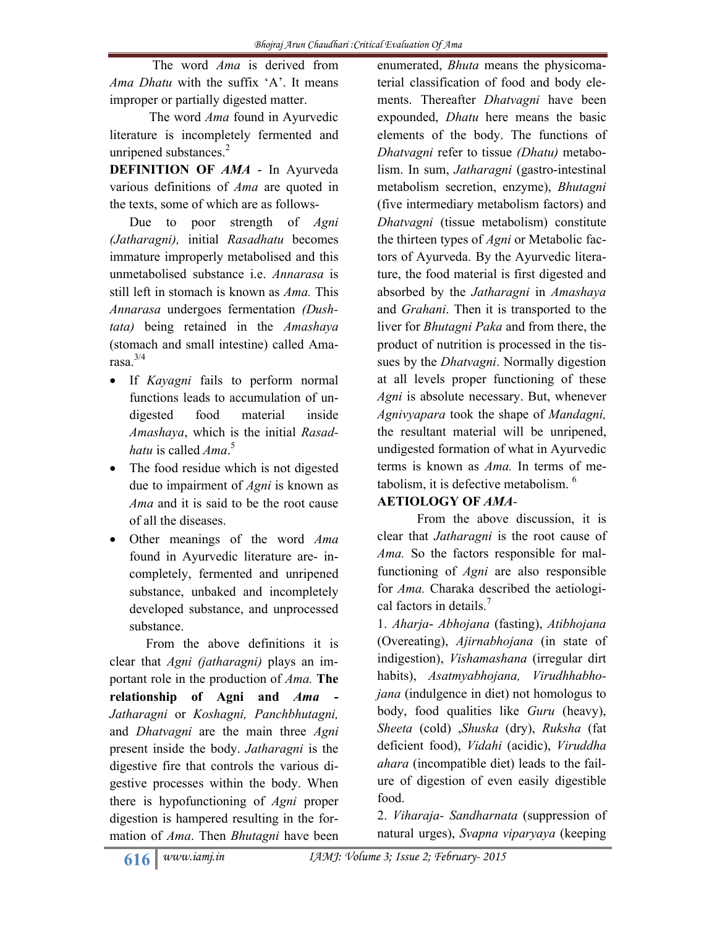The word *Ama* is derived from *Ama Dhatu* with the suffix 'A'. It means improper or partially digested matter.

 The word *Ama* found in Ayurvedic literature is incompletely fermented and unripened substances. $2$ 

**DEFINITION OF** *AMA* - In Ayurveda various definitions of *Ama* are quoted in the texts, some of which are as follows-

Due to poor strength of *Agni (Jatharagni),* initial *Rasadhatu* becomes immature improperly metabolised and this unmetabolised substance i.e. *Annarasa* is still left in stomach is known as *Ama.* This *Annarasa* undergoes fermentation *(Dushtata)* being retained in the *Amashaya* (stomach and small intestine) called Amarasa. $3/4$ 

- If *Kayagni* fails to perform normal functions leads to accumulation of undigested food material inside *Amashaya*, which is the initial *Rasadhatu* is called *Ama*. 5
- The food residue which is not digested due to impairment of *Agni* is known as *Ama* and it is said to be the root cause of all the diseases.
- Other meanings of the word *Ama* found in Ayurvedic literature are- incompletely, fermented and unripened substance, unbaked and incompletely developed substance, and unprocessed substance.

 From the above definitions it is clear that *Agni (jatharagni)* plays an important role in the production of *Ama.* **The relationship of Agni and** *Ama* **-** *Jatharagni* or *Koshagni, Panchbhutagni,* and *Dhatvagni* are the main three *Agni* present inside the body. *Jatharagni* is the digestive fire that controls the various digestive processes within the body. When there is hypofunctioning of *Agni* proper digestion is hampered resulting in the formation of *Ama*. Then *Bhutagni* have been

enumerated, *Bhuta* means the physicomaterial classification of food and body elements. Thereafter *Dhatvagni* have been expounded, *Dhatu* here means the basic elements of the body. The functions of *Dhatvagni* refer to tissue *(Dhatu)* metabolism. In sum, *Jatharagni* (gastro-intestinal metabolism secretion, enzyme), *Bhutagni* (five intermediary metabolism factors) and *Dhatvagni* (tissue metabolism) constitute the thirteen types of *Agni* or Metabolic factors of Ayurveda. By the Ayurvedic literature, the food material is first digested and absorbed by the *Jatharagni* in *Amashaya* and *Grahani*. Then it is transported to the liver for *Bhutagni Paka* and from there, the product of nutrition is processed in the tissues by the *Dhatvagni*. Normally digestion at all levels proper functioning of these *Agni* is absolute necessary. But, whenever *Agnivyapara* took the shape of *Mandagni,* the resultant material will be unripened, undigested formation of what in Ayurvedic terms is known as *Ama.* In terms of metabolism, it is defective metabolism.  $6$ 

# **AETIOLOGY OF** *AMA-*

From the above discussion, it is clear that *Jatharagni* is the root cause of *Ama.* So the factors responsible for malfunctioning of *Agni* are also responsible for *Ama.* Charaka described the aetiological factors in details.<sup>7</sup>

1. *Aharja*- *Abhojana* (fasting), *Atibhojana* (Overeating), *Ajirnabhojana* (in state of indigestion), *Vishamashana* (irregular dirt habits), *Asatmyabhojana, Virudhhabhojana* (indulgence in diet) not homologus to body, food qualities like *Guru* (heavy), *Sheeta* (cold) ,*Shuska* (dry), *Ruksha* (fat deficient food), *Vidahi* (acidic), *Viruddha ahara* (incompatible diet) leads to the failure of digestion of even easily digestible food.

2. *Viharaja- Sandharnata* (suppression of natural urges), *Svapna viparyaya* (keeping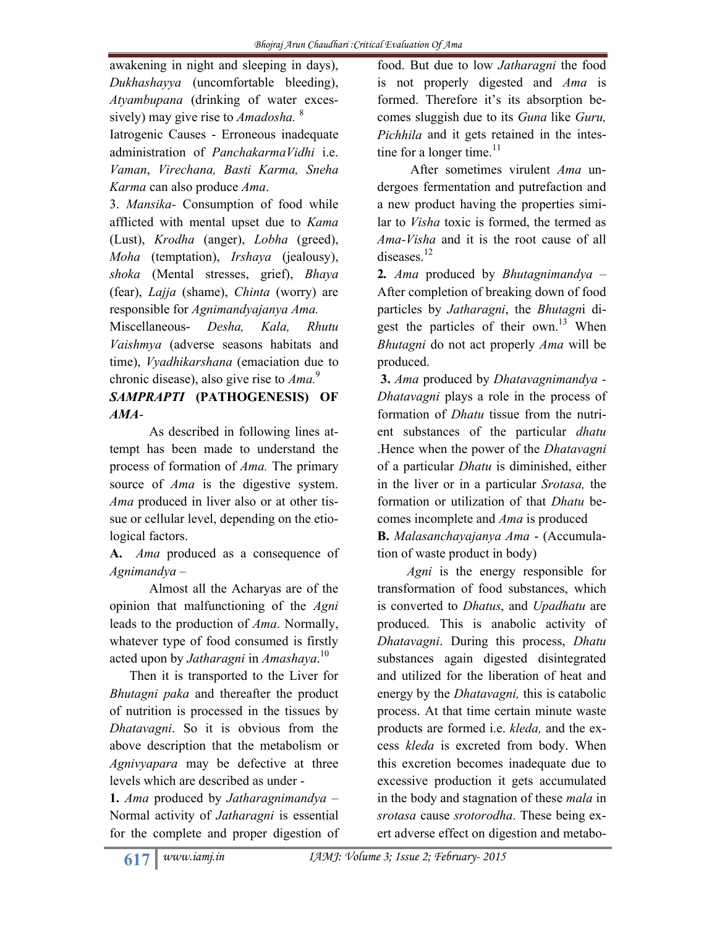awakening in night and sleeping in days), *Dukhashayya* (uncomfortable bleeding), *Atyambupana* (drinking of water excessively) may give rise to *Amadosha.* <sup>8</sup>

Iatrogenic Causes - Erroneous inadequate administration of *PanchakarmaVidhi* i.e. *Vaman*, *Virechana, Basti Karma, Sneha Karma* can also produce *Ama*.

3. *Mansika-* Consumption of food while afflicted with mental upset due to *Kama* (Lust), *Krodha* (anger), *Lobha* (greed), *Moha* (temptation), *Irshaya* (jealousy), *shoka* (Mental stresses, grief), *Bhaya* (fear), *Lajja* (shame), *Chinta* (worry) are responsible for *Agnimandyajanya Ama.* 

Miscellaneous- *Desha, Kala, Rhutu Vaishmya* (adverse seasons habitats and time), *Vyadhikarshana* (emaciation due to chronic disease), also give rise to *Ama.*<sup>9</sup>

# *SAMPRAPTI* **(PATHOGENESIS) OF**  *AMA*-

As described in following lines attempt has been made to understand the process of formation of *Ama.* The primary source of *Ama* is the digestive system. *Ama* produced in liver also or at other tissue or cellular level, depending on the etiological factors.

**A.** *Ama* produced as a consequence of *Agnimandya –*

 Almost all the Acharyas are of the opinion that malfunctioning of the *Agni* leads to the production of *Ama*. Normally, whatever type of food consumed is firstly acted upon by *Jatharagni* in *Amashaya*. 10

 Then it is transported to the Liver for *Bhutagni paka* and thereafter the product of nutrition is processed in the tissues by *Dhatavagni*. So it is obvious from the above description that the metabolism or *Agnivyapara* may be defective at three levels which are described as under -

**1.** *Ama* produced by *Jatharagnimandya –* Normal activity of *Jatharagni* is essential for the complete and proper digestion of food. But due to low *Jatharagni* the food is not properly digested and *Ama* is formed. Therefore it's its absorption becomes sluggish due to its *Guna* like *Guru, Pichhila* and it gets retained in the intestine for a longer time. $11$ 

 After sometimes virulent *Ama* undergoes fermentation and putrefaction and a new product having the properties similar to *Visha* toxic is formed, the termed as *Ama-Visha* and it is the root cause of all diseases.<sup>12</sup>

**2***. Ama* produced by *Bhutagnimandya* – After completion of breaking down of food particles by *Jatharagni*, the *Bhutagn*i digest the particles of their own.<sup>13</sup> When *Bhutagni* do not act properly *Ama* will be produced.

**3.** *Ama* produced by *Dhatavagnimandya - Dhatavagni* plays a role in the process of formation of *Dhatu* tissue from the nutrient substances of the particular *dhatu* .Hence when the power of the *Dhatavagni* of a particular *Dhatu* is diminished, either in the liver or in a particular *Srotasa,* the formation or utilization of that *Dhatu* becomes incomplete and *Ama* is produced **B.** *Malasanchayajanya Ama* - (Accumulation of waste product in body)

 *Agni* is the energy responsible for transformation of food substances, which is converted to *Dhatus*, and *Upadhatu* are produced. This is anabolic activity of *Dhatavagni*. During this process, *Dhatu* substances again digested disintegrated and utilized for the liberation of heat and energy by the *Dhatavagni,* this is catabolic process. At that time certain minute waste products are formed i.e. *kleda,* and the excess *kleda* is excreted from body. When this excretion becomes inadequate due to excessive production it gets accumulated in the body and stagnation of these *mala* in *srotasa* cause *srotorodha*. These being exert adverse effect on digestion and metabo-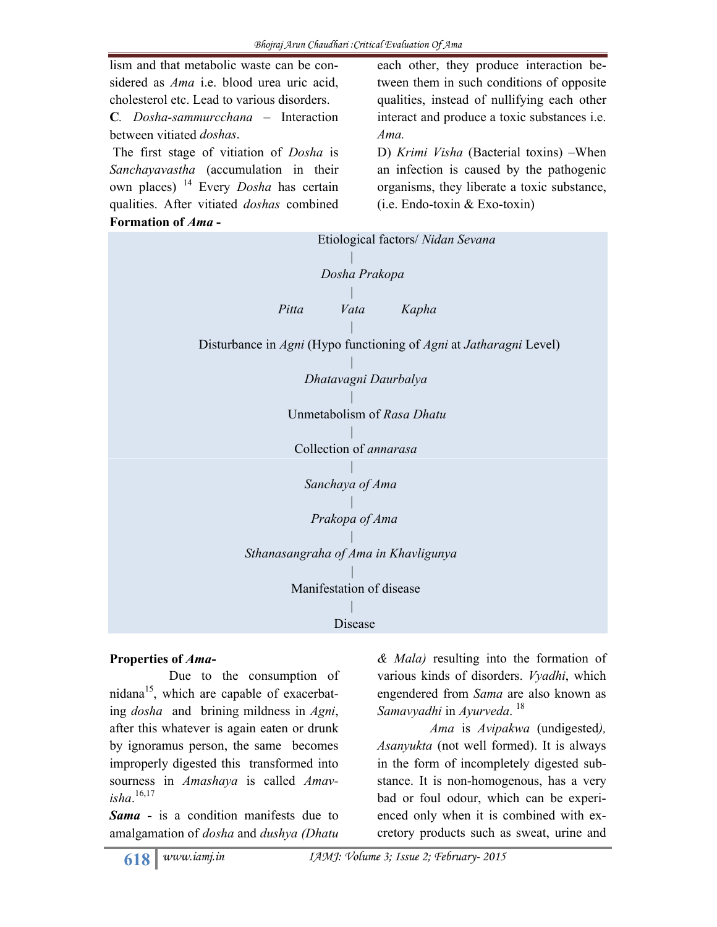

## **Properties of** *Ama***-**

 Due to the consumption of nidana<sup>15</sup>, which are capable of exacerbating *dosha* and brining mildness in *Agni*, after this whatever is again eaten or drunk by ignoramus person, the same becomes improperly digested this transformed into sourness in *Amashaya* is called *Amavisha*. 16,17

*Sama* **-** is a condition manifests due to amalgamation of *dosha* and *dushya (Dhatu* 

*& Mala)* resulting into the formation of various kinds of disorders. *Vyadhi*, which engendered from *Sama* are also known as *Samavyadhi* in *Ayurveda*. 18

 *Ama* is *Avipakwa* (undigested*), Asanyukta* (not well formed). It is always in the form of incompletely digested substance. It is non-homogenous, has a very bad or foul odour, which can be experienced only when it is combined with excretory products such as sweat, urine and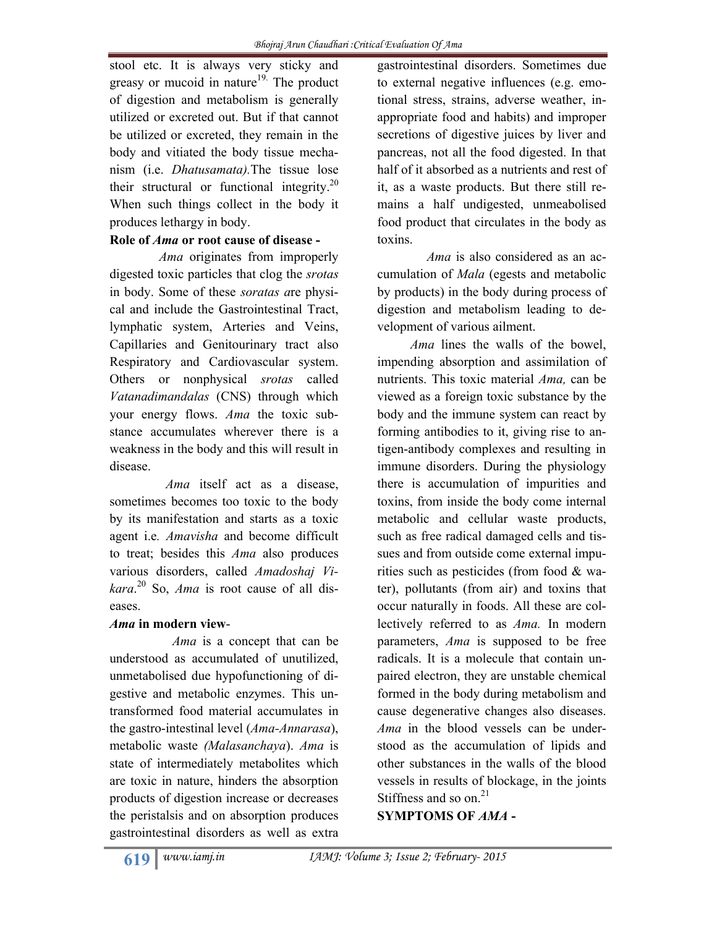stool etc. It is always very sticky and greasy or mucoid in nature<sup>19.</sup> The product of digestion and metabolism is generally utilized or excreted out. But if that cannot be utilized or excreted, they remain in the body and vitiated the body tissue mechanism (i.e. *Dhatusamata).*The tissue lose their structural or functional integrity.<sup>20</sup> When such things collect in the body it produces lethargy in body.

## **Role of** *Ama* **or root cause of disease -**

 *Ama* originates from improperly digested toxic particles that clog the *srotas* in body. Some of these *soratas a*re physical and include the Gastrointestinal Tract, lymphatic system, Arteries and Veins, Capillaries and Genitourinary tract also Respiratory and Cardiovascular system. Others or nonphysical *srotas* called *Vatanadimandalas* (CNS) through which your energy flows. *Ama* the toxic substance accumulates wherever there is a weakness in the body and this will result in disease.

 *Ama* itself act as a disease, sometimes becomes too toxic to the body by its manifestation and starts as a toxic agent i.e*. Amavisha* and become difficult to treat; besides this *Ama* also produces various disorders, called *Amadoshaj Vikara*. <sup>20</sup> So, *Ama* is root cause of all diseases.

## *Ama* **in modern view**-

 *Ama* is a concept that can be understood as accumulated of unutilized, unmetabolised due hypofunctioning of digestive and metabolic enzymes. This untransformed food material accumulates in the gastro-intestinal level (*Ama-Annarasa*), metabolic waste *(Malasanchaya*). *Ama* is state of intermediately metabolites which are toxic in nature, hinders the absorption products of digestion increase or decreases the peristalsis and on absorption produces gastrointestinal disorders as well as extra

gastrointestinal disorders. Sometimes due to external negative influences (e.g. emotional stress, strains, adverse weather, inappropriate food and habits) and improper secretions of digestive juices by liver and pancreas, not all the food digested. In that half of it absorbed as a nutrients and rest of it, as a waste products. But there still remains a half undigested, unmeabolised food product that circulates in the body as toxins.

 *Ama* is also considered as an accumulation of *Mala* (egests and metabolic by products) in the body during process of digestion and metabolism leading to development of various ailment.

 *Ama* lines the walls of the bowel, impending absorption and assimilation of nutrients. This toxic material *Ama,* can be viewed as a foreign toxic substance by the body and the immune system can react by forming antibodies to it, giving rise to antigen-antibody complexes and resulting in immune disorders. During the physiology there is accumulation of impurities and toxins, from inside the body come internal metabolic and cellular waste products, such as free radical damaged cells and tissues and from outside come external impurities such as pesticides (from food & water), pollutants (from air) and toxins that occur naturally in foods. All these are collectively referred to as *Ama.* In modern parameters, *Ama* is supposed to be free radicals. It is a molecule that contain unpaired electron, they are unstable chemical formed in the body during metabolism and cause degenerative changes also diseases. *Ama* in the blood vessels can be understood as the accumulation of lipids and other substances in the walls of the blood vessels in results of blockage, in the joints Stiffness and so on. $^{21}$ 

**SYMPTOMS OF** *AMA* **-**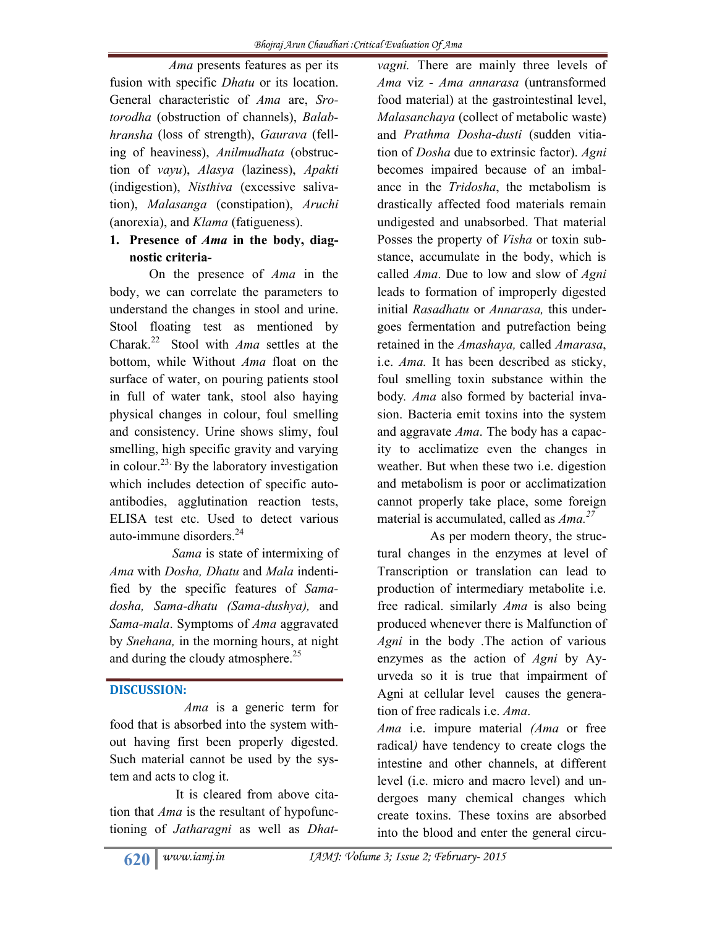*Ama* presents features as per its fusion with specific *Dhatu* or its location. General characteristic of *Ama* are, *Srotorodha* (obstruction of channels), *Balabhransha* (loss of strength), *Gaurava* (felling of heaviness), *Anilmudhata* (obstruction of *vayu*), *Alasya* (laziness), *Apakti* (indigestion), *Nisthiva* (excessive salivation), *Malasanga* (constipation), *Aruchi* (anorexia), and *Klama* (fatigueness).

## **1. Presence of** *Ama* **in the body, diagnostic criteria-**

 On the presence of *Ama* in the body, we can correlate the parameters to understand the changes in stool and urine. Stool floating test as mentioned by Charak.22 Stool with *Ama* settles at the bottom, while Without *Ama* float on the surface of water, on pouring patients stool in full of water tank, stool also haying physical changes in colour, foul smelling and consistency. Urine shows slimy, foul smelling, high specific gravity and varying in colour.<sup>23</sup> By the laboratory investigation which includes detection of specific autoantibodies, agglutination reaction tests, ELISA test etc. Used to detect various auto-immune disorders.<sup>24</sup>

 *Sama* is state of intermixing of *Ama* with *Dosha, Dhatu* and *Mala* indentified by the specific features of *Samadosha, Sama-dhatu (Sama-dushya),* and *Sama-mala*. Symptoms of *Ama* aggravated by *Snehana,* in the morning hours, at night and during the cloudy atmosphere.<sup>25</sup>

## **DISCUSSION:**

 *Ama* is a generic term for food that is absorbed into the system without having first been properly digested. Such material cannot be used by the system and acts to clog it.

 It is cleared from above citation that *Ama* is the resultant of hypofunctioning of *Jatharagni* as well as *Dhat-*

*vagni.* There are mainly three levels of *Ama* viz - *Ama annarasa* (untransformed food material) at the gastrointestinal level, *Malasanchaya* (collect of metabolic waste) and *Prathma Dosha-dusti* (sudden vitiation of *Dosha* due to extrinsic factor). *Agni* becomes impaired because of an imbalance in the *Tridosha*, the metabolism is drastically affected food materials remain undigested and unabsorbed. That material Posses the property of *Visha* or toxin substance, accumulate in the body, which is called *Ama*. Due to low and slow of *Agni* leads to formation of improperly digested initial *Rasadhatu* or *Annarasa,* this undergoes fermentation and putrefaction being retained in the *Amashaya,* called *Amarasa*, i.e. *Ama.* It has been described as sticky, foul smelling toxin substance within the body*. Ama* also formed by bacterial invasion. Bacteria emit toxins into the system and aggravate *Ama*. The body has a capacity to acclimatize even the changes in weather. But when these two i.e. digestion and metabolism is poor or acclimatization cannot properly take place, some foreign material is accumulated, called as *Ama.27*

 As per modern theory, the structural changes in the enzymes at level of Transcription or translation can lead to production of intermediary metabolite i.e. free radical. similarly *Ama* is also being produced whenever there is Malfunction of *Agni* in the body .The action of various enzymes as the action of *Agni* by Ayurveda so it is true that impairment of Agni at cellular level causes the generation of free radicals i.e. *Ama*.

*Ama* i.e. impure material *(Ama* or free radical*)* have tendency to create clogs the intestine and other channels, at different level (i.e. micro and macro level) and undergoes many chemical changes which create toxins. These toxins are absorbed into the blood and enter the general circu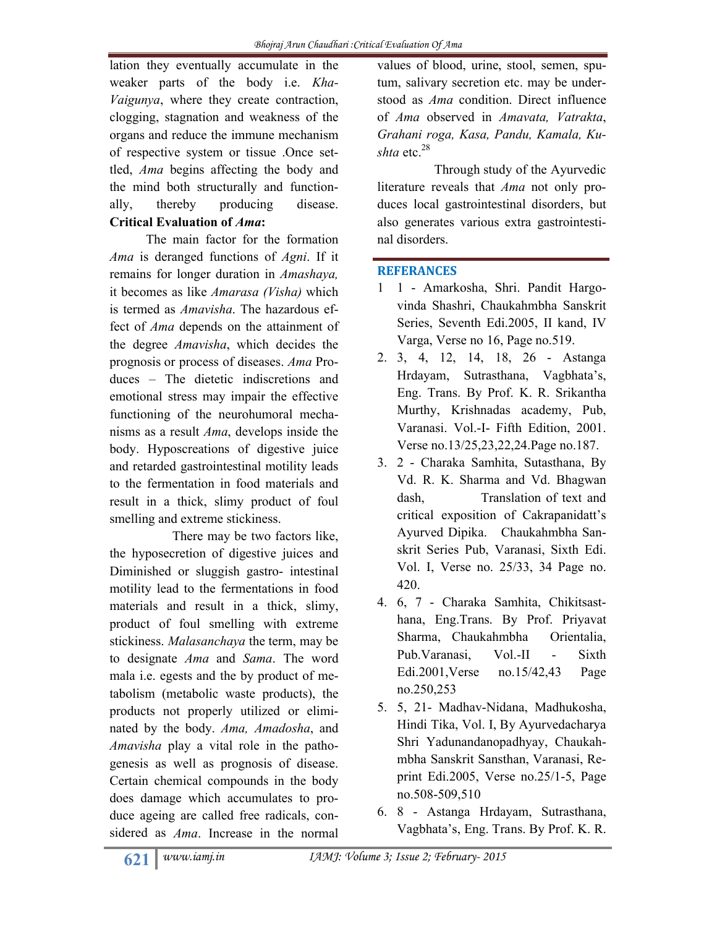lation they eventually accumulate in the weaker parts of the body i.e. *Kha-Vaigunya*, where they create contraction, clogging, stagnation and weakness of the organs and reduce the immune mechanism of respective system or tissue .Once settled, *Ama* begins affecting the body and the mind both structurally and functionally, thereby producing disease. **Critical Evaluation of** *Ama***:**

 The main factor for the formation *Ama* is deranged functions of *Agni*. If it remains for longer duration in *Amashaya,* it becomes as like *Amarasa (Visha)* which is termed as *Amavisha*. The hazardous effect of *Ama* depends on the attainment of the degree *Amavisha*, which decides the prognosis or process of diseases. *Ama* Produces – The dietetic indiscretions and emotional stress may impair the effective functioning of the neurohumoral mechanisms as a result *Ama*, develops inside the body. Hyposcreations of digestive juice and retarded gastrointestinal motility leads to the fermentation in food materials and result in a thick, slimy product of foul smelling and extreme stickiness.

 There may be two factors like, the hyposecretion of digestive juices and Diminished or sluggish gastro- intestinal motility lead to the fermentations in food materials and result in a thick, slimy, product of foul smelling with extreme stickiness. *Malasanchaya* the term, may be to designate *Ama* and *Sama*. The word mala i.e. egests and the by product of metabolism (metabolic waste products), the products not properly utilized or eliminated by the body. *Ama, Amadosha*, and *Amavisha* play a vital role in the pathogenesis as well as prognosis of disease. Certain chemical compounds in the body does damage which accumulates to produce ageing are called free radicals, considered as *Ama*. Increase in the normal

values of blood, urine, stool, semen, sputum, salivary secretion etc. may be understood as *Ama* condition. Direct influence of *Ama* observed in *Amavata, Vatrakta*, *Grahani roga, Kasa, Pandu, Kamala, Kushta* etc.<sup>28</sup>

 Through study of the Ayurvedic literature reveals that *Ama* not only produces local gastrointestinal disorders, but also generates various extra gastrointestinal disorders.

# **REFERANCES**

- 1 1 Amarkosha, Shri. Pandit Hargovinda Shashri, Chaukahmbha Sanskrit Series, Seventh Edi.2005, II kand, IV Varga, Verse no 16, Page no.519.
- 2. 3, 4, 12, 14, 18, 26 Astanga Hrdayam, Sutrasthana, Vagbhata's, Eng. Trans. By Prof. K. R. Srikantha Murthy, Krishnadas academy, Pub, Varanasi. Vol.-I- Fifth Edition, 2001. Verse no.13/25,23,22,24.Page no.187.
- 3. 2 Charaka Samhita, Sutasthana, By Vd. R. K. Sharma and Vd. Bhagwan dash, Translation of text and critical exposition of Cakrapanidatt's Ayurved Dipika. Chaukahmbha Sanskrit Series Pub, Varanasi, Sixth Edi. Vol. I, Verse no. 25/33, 34 Page no. 420.
- 4. 6, 7 Charaka Samhita, Chikitsasthana, Eng.Trans. By Prof. Priyavat Sharma, Chaukahmbha Orientalia, Pub. Varanasi, Vol.-II - Sixth Edi.2001,Verse no.15/42,43 Page no.250,253
- 5. 5, 21- Madhav-Nidana, Madhukosha, Hindi Tika, Vol. I, By Ayurvedacharya Shri Yadunandanopadhyay, Chaukahmbha Sanskrit Sansthan, Varanasi, Reprint Edi.2005, Verse no.25/1-5, Page no.508-509,510
- 6. 8 Astanga Hrdayam, Sutrasthana, Vagbhata's, Eng. Trans. By Prof. K. R.